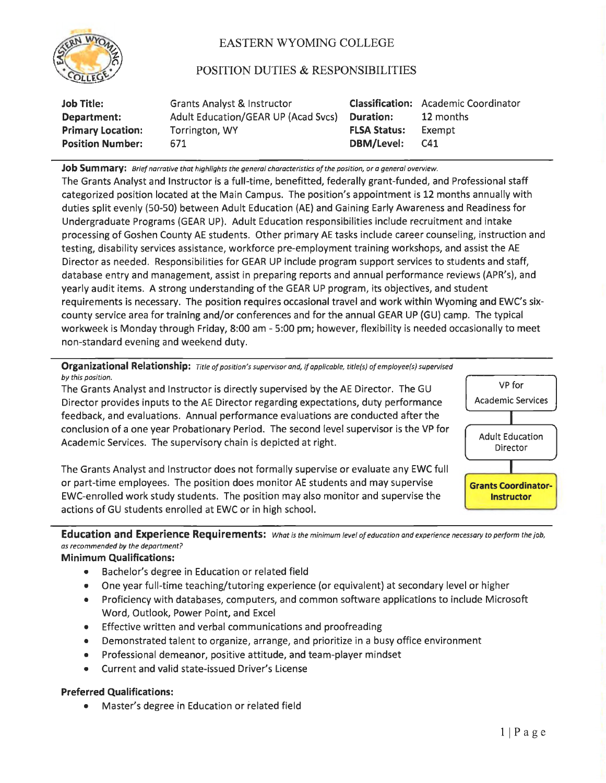

## EASTERN WYOMING COLLEGE

## POSITION DUTIES & RESPONSIBILITIES

| <b>Job Title:</b>        | <b>Grants Analyst &amp; Instructor</b> |                     | <b>Classification:</b> Academic Coordinator |
|--------------------------|----------------------------------------|---------------------|---------------------------------------------|
| Department:              | Adult Education/GEAR UP (Acad Svcs)    | <b>Duration:</b>    | 12 months                                   |
| <b>Primary Location:</b> | Torrington, WY                         | <b>FLSA Status:</b> | Exempt                                      |
| <b>Position Number:</b>  | 671                                    | DBM/Level:          | C41                                         |

**Job Summary:** *Brief narrative that highlights the general characteristics of the position, or a general overview.* 

The Grants Analyst and Instructor is a full-time, benefitted, federally grant-funded, and Professional staff categorized position located at the Main Campus. The position's appointment is 12 months annually with duties split evenly (50-50) between Adult Education (AE) and Gaining Early Awareness and Readiness for Undergraduate Programs (GEAR UP). Adult Education responsibilities include recruitment and intake processing of Goshen County AE students. Other primary AE tasks include career counseling, instruction and testing, disability services assistance, workforce pre-employment training workshops, and assist the AE Director as needed. Responsibilities for GEAR UP include program support services to students and staff, database entry and management, assist in preparing reports and annual performance reviews (APR's), and yearly audit items. A strong understanding of the GEAR UP program, its objectives, and student requirements is necessary. The position requires occasional travel and work within Wyoming and EWC's **six**county service area for training and/or conferences and for the annual GEAR UP (GU) camp. The typical workweek is Monday through Friday, 8:00 am - 5:00 pm; however, flexibility is needed occasionally to meet non-standard evening and weekend duty.

**Organizational Relationship:** *Title of positian's supervisor and, if applicable, title(s) of employee(s) supervised by this position.* 

The Grants Analyst and Instructor is directly supervised by the AE Director. The GU Director provides inputs to the AE Director regarding expectations, duty performance feedback, and evaluations. Annual performance evaluations are conducted after the conclusion of a one year Probationary Period. The second level supervisor is the VP for Academic Services. The supervisory chain is depicted at right.



The Grants Analyst and Instructor does not formally supervise or evaluate any EWC full or part-time employees. The position does monitor AE students and may supervise EWC-enrolled work study students. The position may also monitor and supervise the actions of GU students enrolled at EWC or in high school.

**Education and Experience Requirements:** *What is the minimum level of education and experience necessary to perform the job, os recommended by the department?* 

## **Minimum Qualifications:**

- Bachelor's degree in Education or related field
- One year full-time teaching/tutoring experience (or equivalent) at secondary level or higher
- Proficiency with databases, computers, and common software applications to include Microsoft Word, Outlook, Power Point, and Excel
- Effective written and verbal communications and proofreading
- Demonstrated talent to organize, arrange, and prioritize in a busy office environment
- Professional demeanor, positive attitude, and team-player mindset
- Current and valid state-issued Driver's License

## **Preferred Qualifications:**

• Master's degree in Education or related field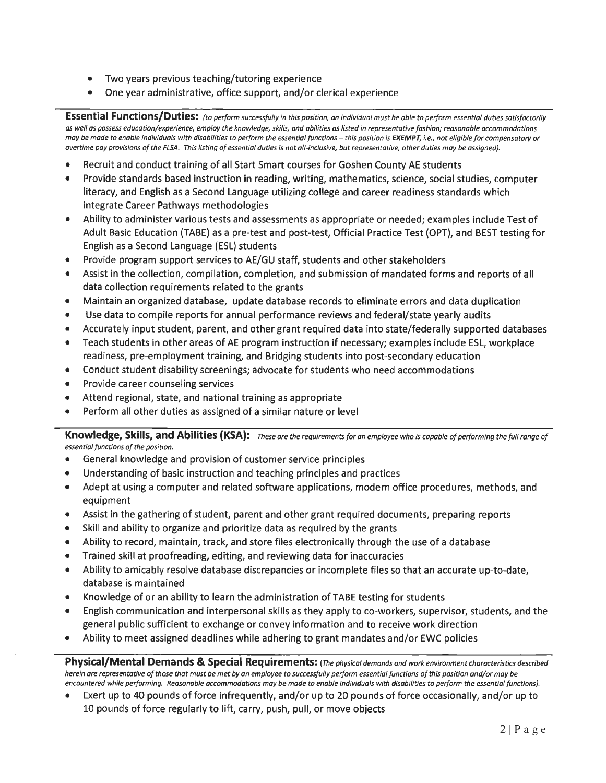- Two years previous teaching/tutoring experience
- One year administrative, office support, and/or clerical experience

**Essential Functions/Duties:** *(to perform successfully in this position, an individual must be able to perform essential duties satisfactorily as well as possess education/experience, employ the knowledge, skills, and abilities as listed in representative fashion; reasonable accommodations may be made to enable individuals with disabilities to perform the essential functions - this position is EXEMPT, <i>i.e.*, not eligible for compensatory or *overtime pay provisions of the FLSA. This listing of essential duties is not all-inclusive, but representative, other duties may be assigned).* 

- Recruit and conduct training of all Start Smart courses for Goshen County AE students
- Provide standards based instruction in reading, writing, mathematics, science, social studies, computer literacy, and English as a Second Language utilizing college and career readiness standards which integrate Career Pathways methodologies
- Ability to administer various tests and assessments as appropriate or needed; examples include Test of Adult Basic Education (TABE) as a pre-test and post-test, Official Practice Test (OPT), and BEST testing for English as a Second Language (ESL) students
- Provide program support services to AE/GU staff, students and other stakeholders
- Assist in the collection, compilation, completion, and submission of mandated forms and reports of all data collection requirements related to the grants
- Maintain an organized database, update database records to eliminate errors and data duplication
- Use data to compile reports for annual performance reviews and federal/state yearly audits
- Accurately input student, parent, and other grant required data into state/federally supported databases
- Teach students in other areas of AE program instruction if necessary; examples include ESL, workplace readiness, pre-employment training, and Bridging students into post-secondary education
- Conduct student disability screenings; advocate for students who need accommodations
- Provide career counseling services
- Attend regional, state, and national training as appropriate
- Perform all other duties as assigned of a similar nature or level

**Knowledge, Skills, and Abilities (KSA):** *These are the requirements for an employee who is capable of performing the full range of essential functions of the position.* 

- General knowledge and provision of customer service principles
- Understanding of basic instruction and teaching principles and practices
- Adept at using a computer and related software applications, modern office procedures, methods, and equipment
- Assist in the gathering of student, parent and other grant required documents, preparing reports
- Skill and ability to organize and prioritize data as required by the grants
- Ability to record, maintain, track, and store files electronically through the use of a database
- Trained skill at proofreading, editing, and reviewing data for inaccuracies
- Ability to amicably resolve database discrepancies or incomplete files so that an accurate up-to-date, database is maintained
- Knowledge of or an ability to learn the administration of TABE testing for students
- English communication and interpersonal skills as they apply to co-workers, supervisor, students, and the general public sufficient to exchange or convey information and to receive work direction
- Ability to meet assigned deadlines while adhering to grant mandates and/or EWC policies

**Physical/Mental Demands & Special Requirements:** *(The physical demands and work environment characteristics described herein are representative of those that must be met by an employee to successfully perform essential functions of this position and/ar may be encountered while performing. Reasonable accommodations may be made to enable individuals with disabilities to perform the essential functions).* 

• Exert up to 40 pounds of force infrequently, and/or up to 20 pounds of force occasionally, and/or up to 10 pounds of force regularly to lift, carry, push, pull, or move objects